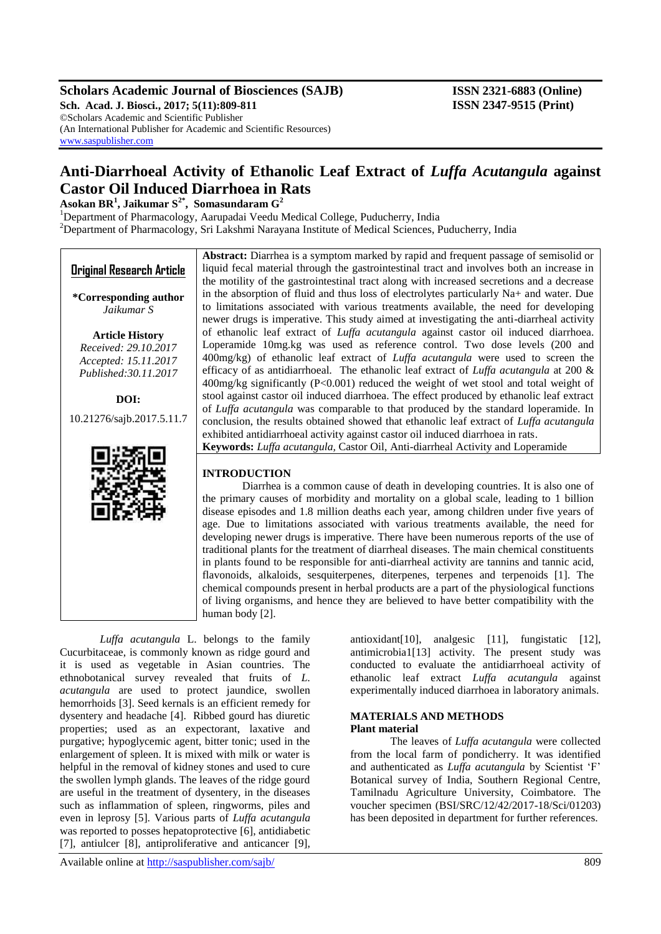# **Scholars Academic Journal of Biosciences (SAJB) ISSN 2321-6883 (Online)**

**Sch. Acad. J. Biosci., 2017; 5(11):809-811 ISSN 2347-9515 (Print)** ©Scholars Academic and Scientific Publisher (An International Publisher for Academic and Scientific Resources) [www.saspublisher.com](http://www.saspublisher.com/)

# **Anti-Diarrhoeal Activity of Ethanolic Leaf Extract of** *Luffa Acutangula* **against Castor Oil Induced Diarrhoea in Rats**

**Asokan BR<sup>1</sup> , Jaikumar S2\*, Somasundaram G<sup>2</sup>**

<sup>1</sup>Department of Pharmacology, Aarupadai Veedu Medical College, Puducherry, India <sup>2</sup>Department of Pharmacology, Sri Lakshmi Narayana Institute of Medical Sciences, Puducherry, India

|                                                                                | <b>Abstract:</b> Diarrhea is a symptom marked by rapid and frequent passage of semisolid or      |  |  |  |  |
|--------------------------------------------------------------------------------|--------------------------------------------------------------------------------------------------|--|--|--|--|
| <b>Original Research Article</b>                                               | liquid fecal material through the gastrointestinal tract and involves both an increase in        |  |  |  |  |
|                                                                                | the motility of the gastrointestinal tract along with increased secretions and a decrease        |  |  |  |  |
| *Corresponding author                                                          | in the absorption of fluid and thus loss of electrolytes particularly Na+ and water. Due         |  |  |  |  |
| Jaikumar S                                                                     | to limitations associated with various treatments available, the need for developing             |  |  |  |  |
|                                                                                | newer drugs is imperative. This study aimed at investigating the anti-diarrheal activity         |  |  |  |  |
| <b>Article History</b>                                                         | of ethanolic leaf extract of <i>Luffa acutangula</i> against castor oil induced diarrhoea.       |  |  |  |  |
| Received: 29.10.2017                                                           | Loperamide 10mg.kg was used as reference control. Two dose levels (200 and                       |  |  |  |  |
| Accepted: 15.11.2017                                                           | 400mg/kg) of ethanolic leaf extract of <i>Luffa acutangula</i> were used to screen the           |  |  |  |  |
| Published: 30.11.2017                                                          | efficacy of as antidiarrhoeal. The ethanolic leaf extract of <i>Luffa acutangula</i> at 200 $\&$ |  |  |  |  |
|                                                                                | $400 \text{mg/kg}$ significantly (P<0.001) reduced the weight of wet stool and total weight of   |  |  |  |  |
| DOI:                                                                           | stool against castor oil induced diarrhoea. The effect produced by ethanolic leaf extract        |  |  |  |  |
|                                                                                | of Luffa acutangula was comparable to that produced by the standard loperamide. In               |  |  |  |  |
| 10.21276/sajb.2017.5.11.7                                                      | conclusion, the results obtained showed that ethanolic leaf extract of <i>Luffa acutangula</i>   |  |  |  |  |
|                                                                                | exhibited antidiarrhoeal activity against castor oil induced diarrhoea in rats.                  |  |  |  |  |
|                                                                                | Keywords: Luffa acutangula, Castor Oil, Anti-diarrheal Activity and Loperamide                   |  |  |  |  |
|                                                                                |                                                                                                  |  |  |  |  |
|                                                                                | <b>INTRODUCTION</b>                                                                              |  |  |  |  |
| Diarrhea is a common cause of death in developing countries. It is also one of |                                                                                                  |  |  |  |  |
|                                                                                | the primary causes of morbidity and mortality on a global scale, leading to 1 billion            |  |  |  |  |
|                                                                                | disease episodes and 1.8 million deaths each year, among children under five years of            |  |  |  |  |
|                                                                                | age. Due to limitations associated with various treatments available, the need for               |  |  |  |  |
|                                                                                | developing newer drugs is imperative. There have been numerous reports of the use of             |  |  |  |  |
|                                                                                | traditional plants for the treatment of diarrheal diseases. The main chemical constituents       |  |  |  |  |
|                                                                                | in plants found to be responsible for anti-diarrheal activity are tannins and tannic acid,       |  |  |  |  |
|                                                                                | flavonoids, alkaloids, sesquiterpenes, diterpenes, terpenes and terpenoids [1]. The              |  |  |  |  |
|                                                                                | chemical compounds present in herbal products are a part of the physiological functions          |  |  |  |  |

*Luffa acutangula* L. belongs to the family Cucurbitaceae, is commonly known as ridge gourd and it is used as vegetable in Asian countries. The ethnobotanical survey revealed that fruits of *L. acutangula* are used to protect jaundice, swollen hemorrhoids [3]. Seed kernals is an efficient remedy for dysentery and headache [4]. Ribbed gourd has diuretic properties; used as an expectorant, laxative and purgative; hypoglycemic agent, bitter tonic; used in the enlargement of spleen. It is mixed with milk or water is helpful in the removal of kidney stones and used to cure the swollen lymph glands. The leaves of the ridge gourd are useful in the treatment of dysentery, in the diseases such as inflammation of spleen, ringworms, piles and even in leprosy [5]. Various parts of *Luffa acutangula*  was reported to posses hepatoprotective [6], antidiabetic [7], antiulcer [8], antiproliferative and anticancer [9],

human body [2].

antioxidant[10], analgesic [11], fungistatic [12], antimicrobia1[13] activity. The present study was conducted to evaluate the antidiarrhoeal activity of ethanolic leaf extract *Luffa acutangula* against experimentally induced diarrhoea in laboratory animals.

#### **MATERIALS AND METHODS Plant material**

of living organisms, and hence they are believed to have better compatibility with the

The leaves of *Luffa acutangula* were collected from the local farm of pondicherry. It was identified and authenticated as *Luffa acutangula* by Scientist 'F' Botanical survey of India, Southern Regional Centre, Tamilnadu Agriculture University, Coimbatore. The voucher specimen (BSI/SRC/12/42/2017-18/Sci/01203) has been deposited in department for further references.

Available online at<http://saspublisher.com/sajb/> 809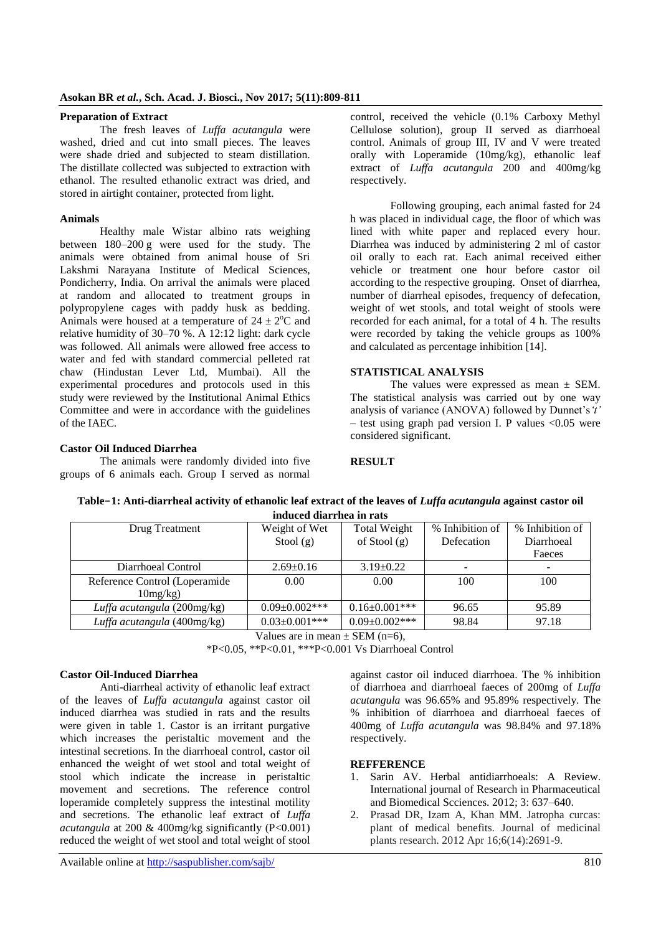### **Preparation of Extract**

The fresh leaves of *Luffa acutangula* were washed, dried and cut into small pieces. The leaves were shade dried and subjected to steam distillation. The distillate collected was subjected to extraction with ethanol. The resulted ethanolic extract was dried, and stored in airtight container, protected from light.

#### **Animals**

Healthy male Wistar albino rats weighing between 180–200 g were used for the study. The animals were obtained from animal house of Sri Lakshmi Narayana Institute of Medical Sciences, Pondicherry, India. On arrival the animals were placed at random and allocated to treatment groups in polypropylene cages with paddy husk as bedding. Animals were housed at a temperature of  $24 \pm 2$ <sup>o</sup>C and relative humidity of 30–70 %. A 12:12 light: dark cycle was followed. All animals were allowed free access to water and fed with standard commercial pelleted rat chaw (Hindustan Lever Ltd, Mumbai). All the experimental procedures and protocols used in this study were reviewed by the Institutional Animal Ethics Committee and were in accordance with the guidelines of the IAEC.

control, received the vehicle (0.1% Carboxy Methyl Cellulose solution), group II served as diarrhoeal control. Animals of group III, IV and V were treated orally with Loperamide (10mg/kg), ethanolic leaf extract of *Luffa acutangula* 200 and 400mg/kg respectively.

Following grouping, each animal fasted for 24 h was placed in individual cage, the floor of which was lined with white paper and replaced every hour. Diarrhea was induced by administering 2 ml of castor oil orally to each rat. Each animal received either vehicle or treatment one hour before castor oil according to the respective grouping. Onset of diarrhea, number of diarrheal episodes, frequency of defecation, weight of wet stools, and total weight of stools were recorded for each animal, for a total of 4 h. The results were recorded by taking the vehicle groups as 100% and calculated as percentage inhibition [14].

## **STATISTICAL ANALYSIS**

The values were expressed as mean  $\pm$  SEM. The statistical analysis was carried out by one way analysis of variance (ANOVA) followed by Dunnet's*'t'*  $-$  test using graph pad version I. P values  $< 0.05$  were considered significant.

## **Castor Oil Induced Diarrhea**

The animals were randomly divided into five groups of 6 animals each. Group I served as normal **RESULT**

| Table-1: Anti-diarrheal activity of ethanolic leaf extract of the leaves of <i>Luffa acutangula</i> against castor oil |               |              |                                   |  |  |  |  |  |
|------------------------------------------------------------------------------------------------------------------------|---------------|--------------|-----------------------------------|--|--|--|--|--|
| induced diarrhea in rats                                                                                               |               |              |                                   |  |  |  |  |  |
| Drug Treatment                                                                                                         | Weight of Wet | Total Weight | % Inhibition of 1 % Inhibition of |  |  |  |  |  |

| Drug Treatment                | Weight of Wet        | <b>Total Weight</b>  | % Inhibition of | % Inhibition of |
|-------------------------------|----------------------|----------------------|-----------------|-----------------|
|                               | Stool $(g)$          | of Stool $(g)$       | Defecation      | Diarrhoeal      |
|                               |                      |                      |                 | Faeces          |
| Diarrhoeal Control            | $2.69 \pm 0.16$      | $3.19\pm0.22$        |                 |                 |
| Reference Control (Loperamide | 0.00                 | 0.00                 | 100             | 100             |
| $10mg/kg$ )                   |                      |                      |                 |                 |
| Luffa acutangula (200mg/kg)   | $0.09+0.002***$      | $0.16 \pm 0.001$ *** | 96.65           | 95.89           |
| Luffa acutangula (400mg/kg)   | $0.03 \pm 0.001$ *** | $0.09 \pm 0.002$ *** | 98.84           | 97.18           |

Values are in mean  $\pm$  SEM (n=6),

\*P<0.05, \*\*P<0.01, \*\*\*P<0.001 Vs Diarrhoeal Control

#### **Castor Oil-Induced Diarrhea**

Anti-diarrheal activity of ethanolic leaf extract of the leaves of *Luffa acutangula* against castor oil induced diarrhea was studied in rats and the results were given in table 1. Castor is an irritant purgative which increases the peristaltic movement and the intestinal secretions. In the diarrhoeal control, castor oil enhanced the weight of wet stool and total weight of stool which indicate the increase in peristaltic movement and secretions. The reference control loperamide completely suppress the intestinal motility and secretions. The ethanolic leaf extract of *Luffa acutangula* at 200 & 400mg/kg significantly (P<0.001) reduced the weight of wet stool and total weight of stool

against castor oil induced diarrhoea. The % inhibition of diarrhoea and diarrhoeal faeces of 200mg of *Luffa acutangula* was 96.65% and 95.89% respectively. The % inhibition of diarrhoea and diarrhoeal faeces of 400mg of *Luffa acutangula* was 98.84% and 97.18% respectively.

## **REFFERENCE**

- 1. Sarin AV. Herbal antidiarrhoeals: A Review. International journal of Research in Pharmaceutical and Biomedical Scciences. 2012; 3: 637–640.
- 2. Prasad DR, Izam A, Khan MM. Jatropha curcas: plant of medical benefits. Journal of medicinal plants research. 2012 Apr 16;6(14):2691-9.